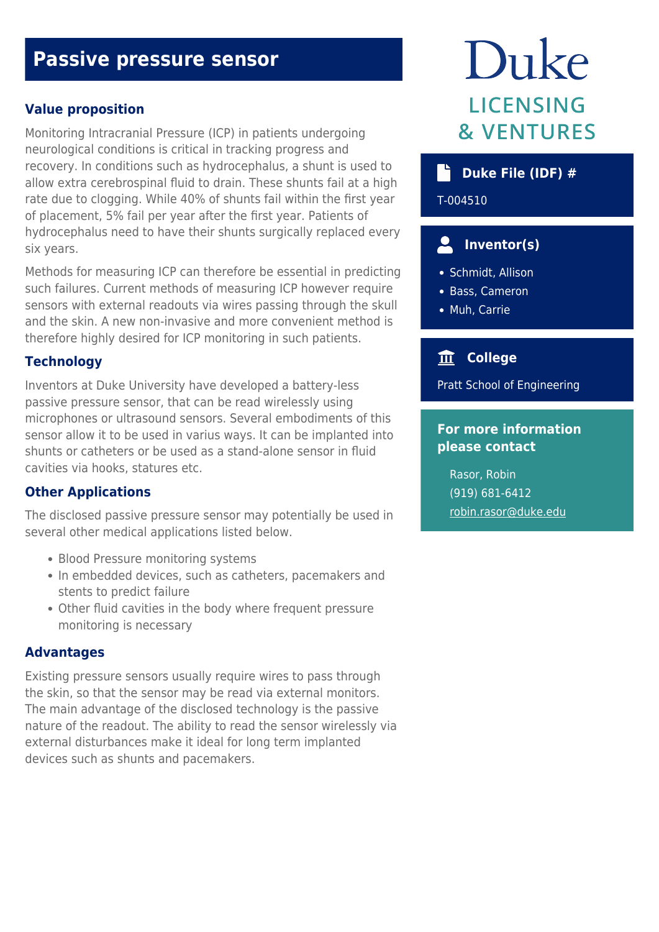# **Passive pressure sensor**

## **Value proposition**

Monitoring Intracranial Pressure (ICP) in patients undergoing neurological conditions is critical in tracking progress and recovery. In conditions such as hydrocephalus, a shunt is used to allow extra cerebrospinal fluid to drain. These shunts fail at a high rate due to clogging. While 40% of shunts fail within the first year of placement, 5% fail per year after the first year. Patients of hydrocephalus need to have their shunts surgically replaced every six years.

Methods for measuring ICP can therefore be essential in predicting such failures. Current methods of measuring ICP however require sensors with external readouts via wires passing through the skull and the skin. A new non-invasive and more convenient method is therefore highly desired for ICP monitoring in such patients.

#### **Technology**

Inventors at Duke University have developed a battery-less passive pressure sensor, that can be read wirelessly using microphones or ultrasound sensors. Several embodiments of this sensor allow it to be used in varius ways. It can be implanted into shunts or catheters or be used as a stand-alone sensor in fluid cavities via hooks, statures etc.

#### **Other Applications**

The disclosed passive pressure sensor may potentially be used in several other medical applications listed below.

- Blood Pressure monitoring systems
- In embedded devices, such as catheters, pacemakers and stents to predict failure
- Other fluid cavities in the body where frequent pressure monitoring is necessary

#### **Advantages**

Existing pressure sensors usually require wires to pass through the skin, so that the sensor may be read via external monitors. The main advantage of the disclosed technology is the passive nature of the readout. The ability to read the sensor wirelessly via external disturbances make it ideal for long term implanted devices such as shunts and pacemakers.

# Duke **LICENSING & VENTURES**

# **Duke File (IDF) #**

T-004510

# **Inventor(s)**

- Schmidt, Allison
- Bass, Cameron
- Muh, Carrie

# **College**

Pratt School of Engineering

# **For more information please contact**

Rasor, Robin (919) 681-6412 [robin.rasor@duke.edu](mailto:robin.rasor@duke.edu)